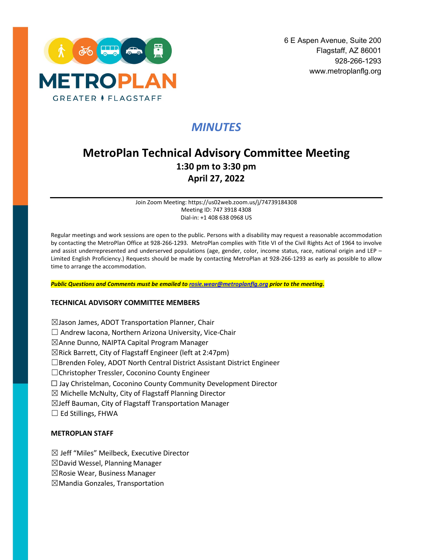

# *MINUTES*

# **MetroPlan Technical Advisory Committee Meeting 1:30 pm to 3:30 pm April 27, 2022**

Join Zoom Meeting: https://us02web.zoom.us/j/74739184308 Meeting ID: 747 3918 4308 Dial-in: +1 408 638 0968 US

Regular meetings and work sessions are open to the public. Persons with a disability may request a reasonable accommodation by contacting the MetroPlan Office at 928-266-1293. MetroPlan complies with Title VI of the Civil Rights Act of 1964 to involve and assist underrepresented and underserved populations (age, gender, color, income status, race, national origin and LEP – Limited English Proficiency.) Requests should be made by contacting MetroPlan at 928-266-1293 as early as possible to allow time to arrange the accommodation.

*Public Questions and Comments must be emailed t[o rosie.wear@metroplanflg.org](mailto:rosie.wear@metroplanflg.org) prior to the meeting.* 

#### **TECHNICAL ADVISORY COMMITTEE MEMBERS**

☒Jason James, ADOT Transportation Planner, Chair  $\Box$  Andrew Iacona, Northern Arizona University, Vice-Chair ☒Anne Dunno, NAIPTA Capital Program Manager  $\boxtimes$ Rick Barrett, City of Flagstaff Engineer (left at 2:47pm) ☐Brenden Foley, ADOT North Central District Assistant District Engineer ☐Christopher Tressler, Coconino County Engineer ☐ Jay Christelman, Coconino County Community Development Director  $\boxtimes$  Michelle McNulty, City of Flagstaff Planning Director ☒Jeff Bauman, City of Flagstaff Transportation Manager  $\Box$  Ed Stillings, FHWA

#### **METROPLAN STAFF**

☒ Jeff "Miles" Meilbeck, Executive Director

☒David Wessel, Planning Manager

☒Rosie Wear, Business Manager

☒Mandia Gonzales, Transportation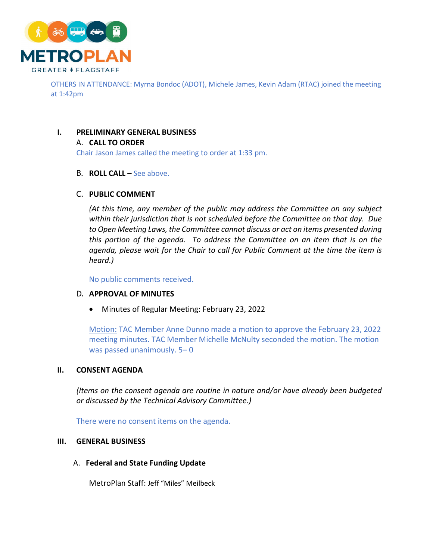

OTHERS IN ATTENDANCE: Myrna Bondoc (ADOT), Michele James, Kevin Adam (RTAC) joined the meeting at 1:42pm

## **I. PRELIMINARY GENERAL BUSINESS**

#### A. **CALL TO ORDER**

Chair Jason James called the meeting to order at 1:33 pm.

#### B. **ROLL CALL –** See above.

## C. **PUBLIC COMMENT**

*(At this time, any member of the public may address the Committee on any subject within their jurisdiction that is not scheduled before the Committee on that day. Due to Open Meeting Laws, the Committee cannot discuss or act on items presented during this portion of the agenda. To address the Committee on an item that is on the*  agenda, please wait for the Chair to call for Public Comment at the time the item is *heard.)*

No public comments received.

#### D. **APPROVAL OF MINUTES**

• Minutes of Regular Meeting: February 23, 2022

Motion: TAC Member Anne Dunno made a motion to approve the February 23, 2022 meeting minutes. TAC Member Michelle McNulty seconded the motion. The motion was passed unanimously. 5– 0

#### **II. CONSENT AGENDA**

*(Items on the consent agenda are routine in nature and/or have already been budgeted or discussed by the Technical Advisory Committee.)*

There were no consent items on the agenda.

#### **III. GENERAL BUSINESS**

A. **Federal and State Funding Update** 

MetroPlan Staff: Jeff "Miles" Meilbeck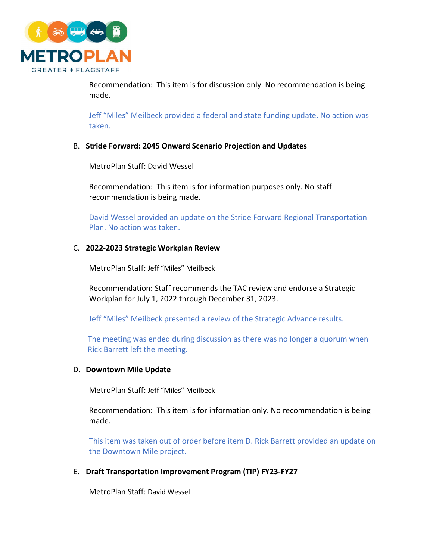

Recommendation: This item is for discussion only. No recommendation is being made.

Jeff "Miles" Meilbeck provided a federal and state funding update. No action was taken.

## B. **Stride Forward: 2045 Onward Scenario Projection and Updates**

MetroPlan Staff: David Wessel

Recommendation: This item is for information purposes only. No staff recommendation is being made.

David Wessel provided an update on the Stride Forward Regional Transportation Plan. No action was taken.

# C. **2022-2023 Strategic Workplan Review**

MetroPlan Staff: Jeff "Miles" Meilbeck

Recommendation: Staff recommends the TAC review and endorse a Strategic Workplan for July 1, 2022 through December 31, 2023.

Jeff "Miles" Meilbeck presented a review of the Strategic Advance results.

The meeting was ended during discussion as there was no longer a quorum when Rick Barrett left the meeting.

#### D. **Downtown Mile Update**

MetroPlan Staff: Jeff "Miles" Meilbeck

Recommendation: This item is for information only. No recommendation is being made.

This item was taken out of order before item D. Rick Barrett provided an update on the Downtown Mile project.

#### E. **Draft Transportation Improvement Program (TIP) FY23-FY27**

MetroPlan Staff: David Wessel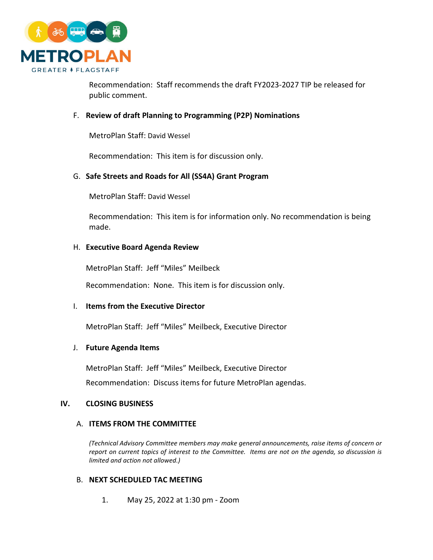

Recommendation: Staff recommends the draft FY2023-2027 TIP be released for public comment.

## F. **Review of draft Planning to Programming (P2P) Nominations**

MetroPlan Staff: David Wessel

Recommendation: This item is for discussion only.

# G. **Safe Streets and Roads for All (SS4A) Grant Program**

MetroPlan Staff: David Wessel

Recommendation: This item is for information only. No recommendation is being made.

## H. **Executive Board Agenda Review**

MetroPlan Staff: Jeff "Miles" Meilbeck

Recommendation: None. This item is for discussion only.

#### I. **Items from the Executive Director**

MetroPlan Staff: Jeff "Miles" Meilbeck, Executive Director

#### J. **Future Agenda Items**

MetroPlan Staff: Jeff "Miles" Meilbeck, Executive Director Recommendation: Discuss items for future MetroPlan agendas.

#### **IV. CLOSING BUSINESS**

#### A. **ITEMS FROM THE COMMITTEE**

*(Technical Advisory Committee members may make general announcements, raise items of concern or report on current topics of interest to the Committee. Items are not on the agenda, so discussion is limited and action not allowed.)*

#### B. **NEXT SCHEDULED TAC MEETING**

1. May 25, 2022 at 1:30 pm - Zoom